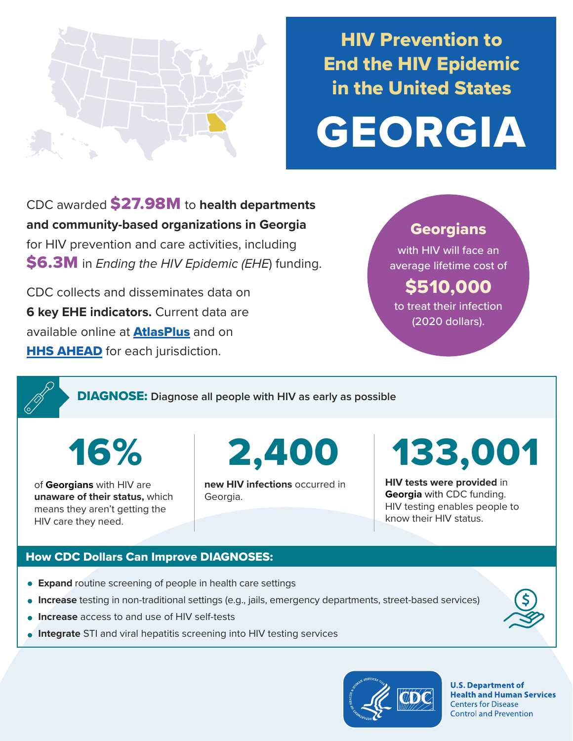

## HIV Prevention to End the HIV Epidemic in the United States

# GEORGIA

CDC awarded \$27.98M to **health departments and community-based organizations in Georgia**  for HIV prevention and care activities, including \$6.3M in *Ending the HIV Epidemic (EHE*) funding.

CDC collects and disseminates data on **6 key EHE indicators.** Current data are available online at **[AtlasPlus](https://www.cdc.gov/nchhstp/atlas/index.htm)** and on **[HHS AHEAD](https://ahead.hiv.gov/)** for each jurisdiction.

#### **Georgians**

with HIV will face an average lifetime cost of

### \$510,000

to treat their infection (2020 dollars).

DIAGNOSE: **Diagnose all people with HIV as early as possible** 

of **Georgians** with HIV are **unaware of their status,** which means they aren't getting the HIV care they need.

16% 2,400

**new HIV infections** occurred in Georgia.

# 133,001

**HIV tests were provided** in **Georgia** with CDC funding. HIV testing enables people to know their HIV status.

#### How CDC Dollars Can Improve DIAGNOSES:

- **Expand** routine screening of people in health care settings
- **Increase** testing in non-traditional settings (e.g., jails, emergency departments, street-based services)
- **Increase** access to and use of HIV self-tests
- **Integrate** STI and viral hepatitis screening into HIV testing services



**U.S. Department of Health and Human Services Centers for Disease Control and Prevention**